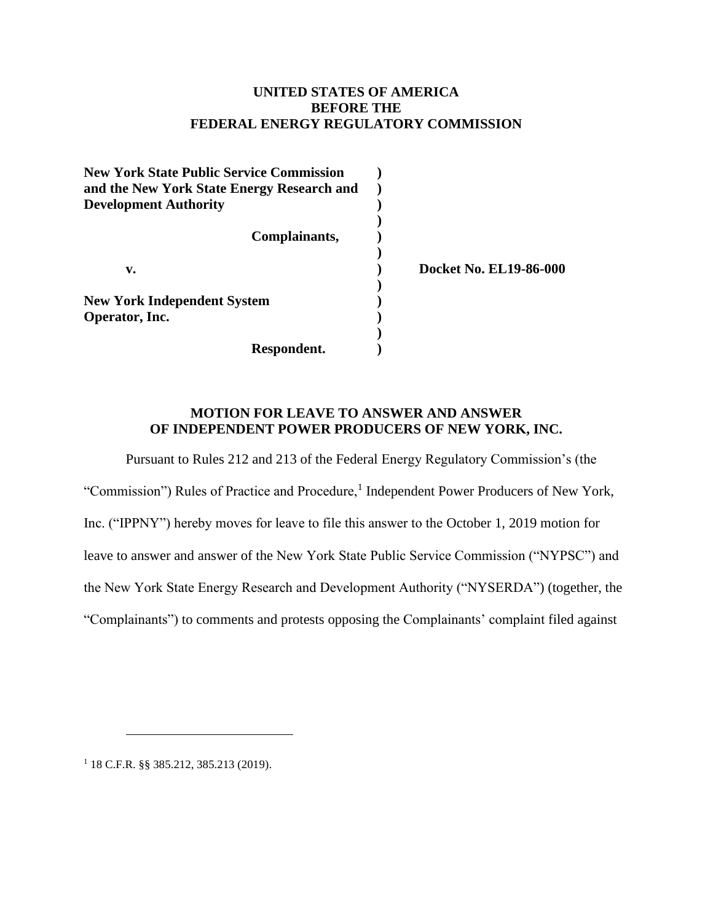## **UNITED STATES OF AMERICA BEFORE THE FEDERAL ENERGY REGULATORY COMMISSION**

| <b>New York State Public Service Commission</b> |                               |
|-------------------------------------------------|-------------------------------|
| and the New York State Energy Research and      |                               |
| <b>Development Authority</b>                    |                               |
|                                                 |                               |
| Complainants,                                   |                               |
|                                                 |                               |
| v.                                              | <b>Docket No. EL19-86-000</b> |
|                                                 |                               |
| <b>New York Independent System</b>              |                               |
| Operator, Inc.                                  |                               |
|                                                 |                               |
| Respondent.                                     |                               |

#### **MOTION FOR LEAVE TO ANSWER AND ANSWER OF INDEPENDENT POWER PRODUCERS OF NEW YORK, INC.**

Pursuant to Rules 212 and 213 of the Federal Energy Regulatory Commission's (the

"Commission") Rules of Practice and Procedure,<sup>1</sup> Independent Power Producers of New York, Inc. ("IPPNY") hereby moves for leave to file this answer to the October 1, 2019 motion for leave to answer and answer of the New York State Public Service Commission ("NYPSC") and the New York State Energy Research and Development Authority ("NYSERDA") (together, the "Complainants") to comments and protests opposing the Complainants' complaint filed against

<sup>1</sup> 18 C.F.R. §§ 385.212, 385.213 (2019).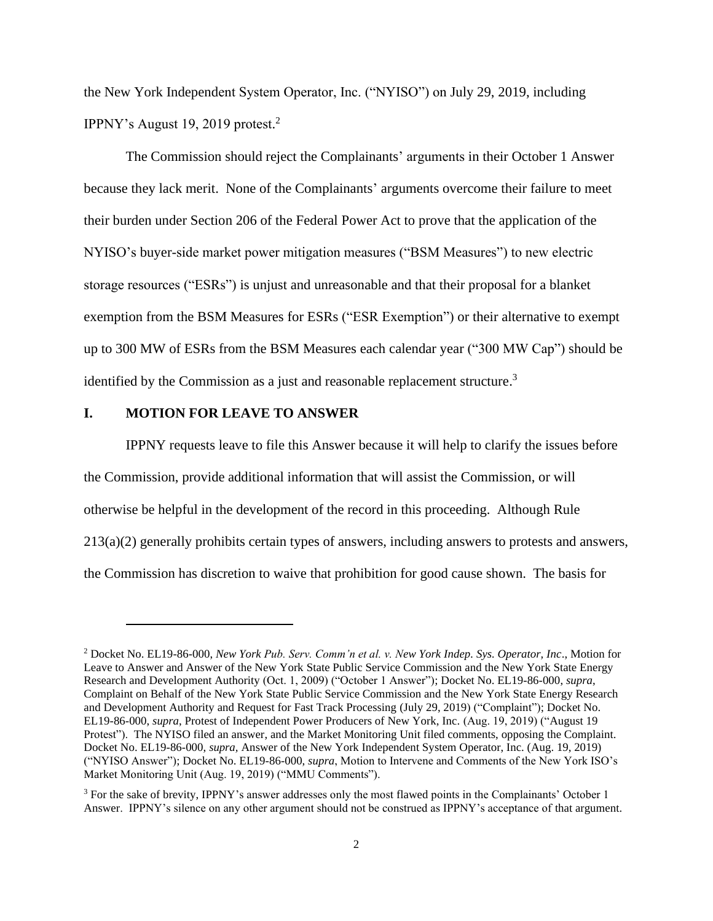the New York Independent System Operator, Inc. ("NYISO") on July 29, 2019, including IPPNY's August 19, 2019 protest. 2

The Commission should reject the Complainants' arguments in their October 1 Answer because they lack merit. None of the Complainants' arguments overcome their failure to meet their burden under Section 206 of the Federal Power Act to prove that the application of the NYISO's buyer-side market power mitigation measures ("BSM Measures") to new electric storage resources ("ESRs") is unjust and unreasonable and that their proposal for a blanket exemption from the BSM Measures for ESRs ("ESR Exemption") or their alternative to exempt up to 300 MW of ESRs from the BSM Measures each calendar year ("300 MW Cap") should be identified by the Commission as a just and reasonable replacement structure.<sup>3</sup>

#### **I. MOTION FOR LEAVE TO ANSWER**

IPPNY requests leave to file this Answer because it will help to clarify the issues before the Commission, provide additional information that will assist the Commission, or will otherwise be helpful in the development of the record in this proceeding. Although Rule 213(a)(2) generally prohibits certain types of answers, including answers to protests and answers, the Commission has discretion to waive that prohibition for good cause shown. The basis for

<sup>2</sup> Docket No. EL19-86-000, *New York Pub. Serv. Comm'n et al. v. New York Indep. Sys. Operator, Inc*., Motion for Leave to Answer and Answer of the New York State Public Service Commission and the New York State Energy Research and Development Authority (Oct. 1, 2009) ("October 1 Answer"); Docket No. EL19-86-000, *supra*, Complaint on Behalf of the New York State Public Service Commission and the New York State Energy Research and Development Authority and Request for Fast Track Processing (July 29, 2019) ("Complaint"); Docket No. EL19-86-000, *supra*, Protest of Independent Power Producers of New York, Inc. (Aug. 19, 2019) ("August 19 Protest"). The NYISO filed an answer, and the Market Monitoring Unit filed comments, opposing the Complaint. Docket No. EL19-86-000, *supra,* Answer of the New York Independent System Operator, Inc. (Aug. 19, 2019) ("NYISO Answer"); Docket No. EL19-86-000, *supra*, Motion to Intervene and Comments of the New York ISO's Market Monitoring Unit (Aug. 19, 2019) ("MMU Comments").

<sup>&</sup>lt;sup>3</sup> For the sake of brevity, IPPNY's answer addresses only the most flawed points in the Complainants' October 1 Answer. IPPNY's silence on any other argument should not be construed as IPPNY's acceptance of that argument.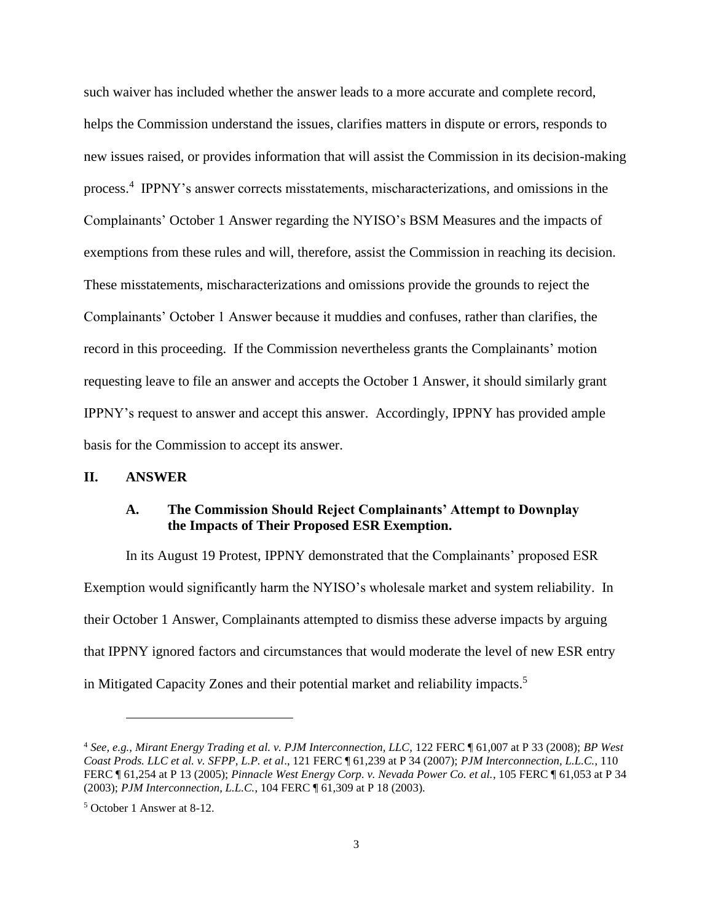such waiver has included whether the answer leads to a more accurate and complete record, helps the Commission understand the issues, clarifies matters in dispute or errors, responds to new issues raised, or provides information that will assist the Commission in its decision-making process.<sup>4</sup> IPPNY's answer corrects misstatements, mischaracterizations, and omissions in the Complainants' October 1 Answer regarding the NYISO's BSM Measures and the impacts of exemptions from these rules and will, therefore, assist the Commission in reaching its decision. These misstatements, mischaracterizations and omissions provide the grounds to reject the Complainants' October 1 Answer because it muddies and confuses, rather than clarifies, the record in this proceeding. If the Commission nevertheless grants the Complainants' motion requesting leave to file an answer and accepts the October 1 Answer, it should similarly grant IPPNY's request to answer and accept this answer. Accordingly, IPPNY has provided ample basis for the Commission to accept its answer.

#### **II. ANSWER**

## **A. The Commission Should Reject Complainants' Attempt to Downplay the Impacts of Their Proposed ESR Exemption.**

In its August 19 Protest, IPPNY demonstrated that the Complainants' proposed ESR Exemption would significantly harm the NYISO's wholesale market and system reliability. In their October 1 Answer, Complainants attempted to dismiss these adverse impacts by arguing that IPPNY ignored factors and circumstances that would moderate the level of new ESR entry in Mitigated Capacity Zones and their potential market and reliability impacts. 5

<sup>4</sup> *See, e.g.*, *Mirant Energy Trading et al. v. PJM Interconnection, LLC*, 122 FERC ¶ 61,007 at P 33 (2008); *BP West Coast Prods. LLC et al. v. SFPP, L.P. et al*., 121 FERC ¶ 61,239 at P 34 (2007); *PJM Interconnection, L.L.C.*, 110 FERC ¶ 61,254 at P 13 (2005); *Pinnacle West Energy Corp. v. Nevada Power Co. et al.*, 105 FERC ¶ 61,053 at P 34 (2003); *PJM Interconnection, L.L.C.*, 104 FERC ¶ 61,309 at P 18 (2003).

<sup>5</sup> October 1 Answer at 8-12.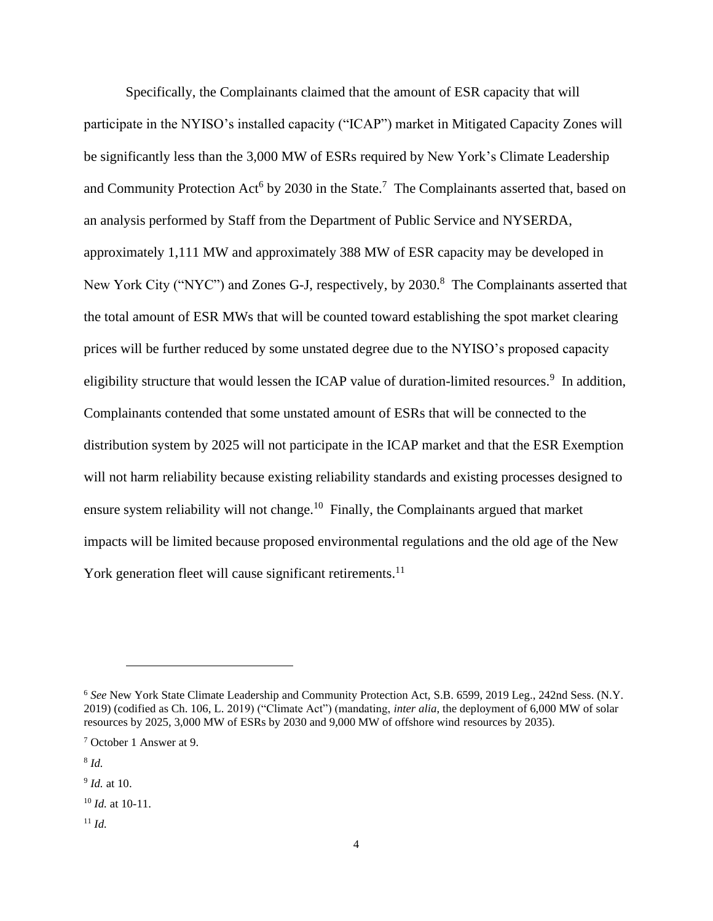Specifically, the Complainants claimed that the amount of ESR capacity that will participate in the NYISO's installed capacity ("ICAP") market in Mitigated Capacity Zones will be significantly less than the 3,000 MW of ESRs required by New York's Climate Leadership and Community Protection Act<sup>6</sup> by 2030 in the State.<sup>7</sup> The Complainants asserted that, based on an analysis performed by Staff from the Department of Public Service and NYSERDA, approximately 1,111 MW and approximately 388 MW of ESR capacity may be developed in New York City ("NYC") and Zones G-J, respectively, by 2030.<sup>8</sup> The Complainants asserted that the total amount of ESR MWs that will be counted toward establishing the spot market clearing prices will be further reduced by some unstated degree due to the NYISO's proposed capacity eligibility structure that would lessen the ICAP value of duration-limited resources.<sup>9</sup> In addition, Complainants contended that some unstated amount of ESRs that will be connected to the distribution system by 2025 will not participate in the ICAP market and that the ESR Exemption will not harm reliability because existing reliability standards and existing processes designed to ensure system reliability will not change.<sup>10</sup> Finally, the Complainants argued that market impacts will be limited because proposed environmental regulations and the old age of the New York generation fleet will cause significant retirements.<sup>11</sup>

<sup>6</sup> *See* New York State Climate Leadership and Community Protection Act, S.B. 6599, 2019 Leg., 242nd Sess. (N.Y. 2019) (codified as Ch. 106, L. 2019) ("Climate Act") (mandating, *inter alia*, the deployment of 6,000 MW of solar resources by 2025, 3,000 MW of ESRs by 2030 and 9,000 MW of offshore wind resources by 2035).

<sup>7</sup> October 1 Answer at 9.

<sup>8</sup> *Id.*

<sup>9</sup> *Id.* at 10.

<sup>10</sup> *Id.* at 10-11.

<sup>11</sup> *Id.*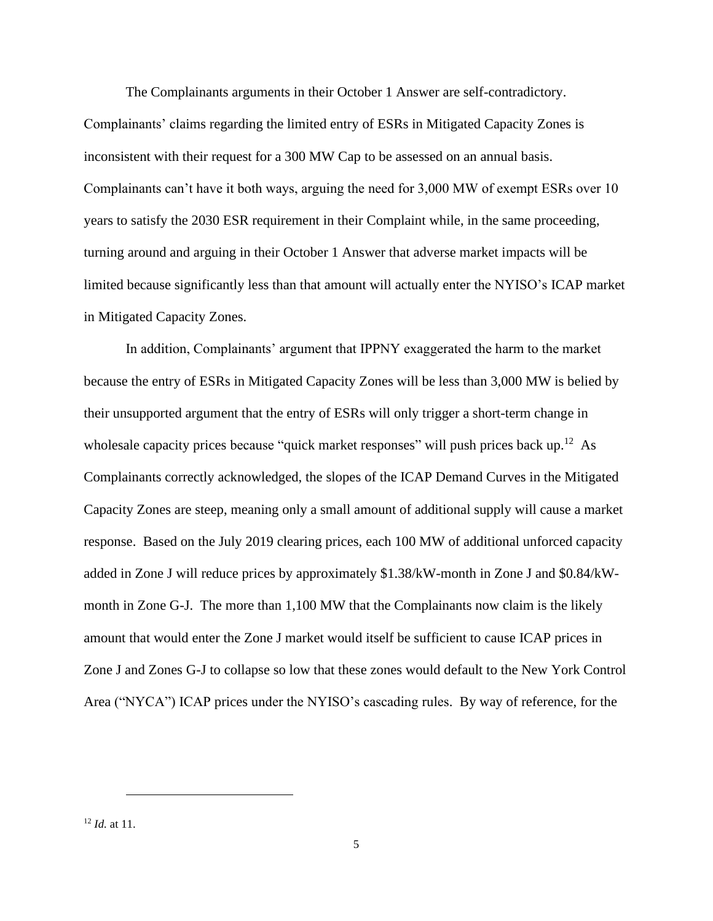The Complainants arguments in their October 1 Answer are self-contradictory. Complainants' claims regarding the limited entry of ESRs in Mitigated Capacity Zones is inconsistent with their request for a 300 MW Cap to be assessed on an annual basis. Complainants can't have it both ways, arguing the need for 3,000 MW of exempt ESRs over 10 years to satisfy the 2030 ESR requirement in their Complaint while, in the same proceeding, turning around and arguing in their October 1 Answer that adverse market impacts will be limited because significantly less than that amount will actually enter the NYISO's ICAP market in Mitigated Capacity Zones.

In addition, Complainants' argument that IPPNY exaggerated the harm to the market because the entry of ESRs in Mitigated Capacity Zones will be less than 3,000 MW is belied by their unsupported argument that the entry of ESRs will only trigger a short-term change in wholesale capacity prices because "quick market responses" will push prices back up.<sup>12</sup> As Complainants correctly acknowledged, the slopes of the ICAP Demand Curves in the Mitigated Capacity Zones are steep, meaning only a small amount of additional supply will cause a market response. Based on the July 2019 clearing prices, each 100 MW of additional unforced capacity added in Zone J will reduce prices by approximately \$1.38/kW-month in Zone J and \$0.84/kWmonth in Zone G-J. The more than 1,100 MW that the Complainants now claim is the likely amount that would enter the Zone J market would itself be sufficient to cause ICAP prices in Zone J and Zones G-J to collapse so low that these zones would default to the New York Control Area ("NYCA") ICAP prices under the NYISO's cascading rules. By way of reference, for the

<sup>12</sup> *Id.* at 11.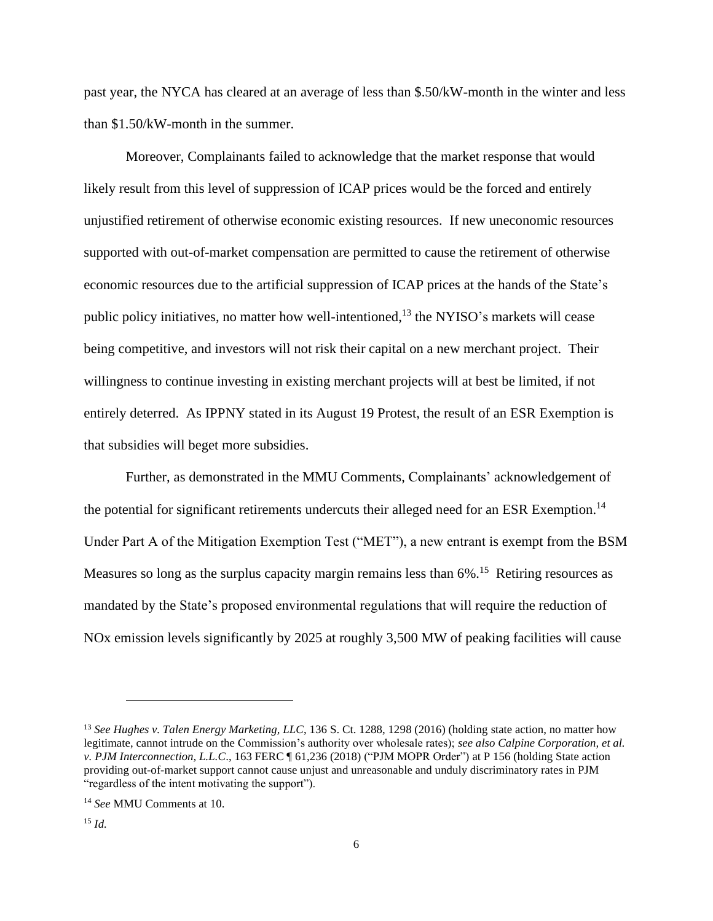past year, the NYCA has cleared at an average of less than \$.50/kW-month in the winter and less than \$1.50/kW-month in the summer.

Moreover, Complainants failed to acknowledge that the market response that would likely result from this level of suppression of ICAP prices would be the forced and entirely unjustified retirement of otherwise economic existing resources. If new uneconomic resources supported with out-of-market compensation are permitted to cause the retirement of otherwise economic resources due to the artificial suppression of ICAP prices at the hands of the State's public policy initiatives, no matter how well-intentioned,<sup>13</sup> the NYISO's markets will cease being competitive, and investors will not risk their capital on a new merchant project. Their willingness to continue investing in existing merchant projects will at best be limited, if not entirely deterred. As IPPNY stated in its August 19 Protest, the result of an ESR Exemption is that subsidies will beget more subsidies.

Further, as demonstrated in the MMU Comments, Complainants' acknowledgement of the potential for significant retirements undercuts their alleged need for an ESR Exemption.<sup>14</sup> Under Part A of the Mitigation Exemption Test ("MET"), a new entrant is exempt from the BSM Measures so long as the surplus capacity margin remains less than 6%.<sup>15</sup> Retiring resources as mandated by the State's proposed environmental regulations that will require the reduction of NOx emission levels significantly by 2025 at roughly 3,500 MW of peaking facilities will cause

<sup>13</sup> *See Hughes v. Talen Energy Marketing, LLC*, 136 S. Ct. 1288, 1298 (2016) (holding state action, no matter how legitimate, cannot intrude on the Commission's authority over wholesale rates); *see also Calpine Corporation, et al. v. PJM Interconnection, L.L.C*., 163 FERC ¶ 61,236 (2018) ("PJM MOPR Order") at P 156 (holding State action providing out-of-market support cannot cause unjust and unreasonable and unduly discriminatory rates in PJM "regardless of the intent motivating the support").

<sup>14</sup> *See* MMU Comments at 10.

<sup>15</sup> *Id.*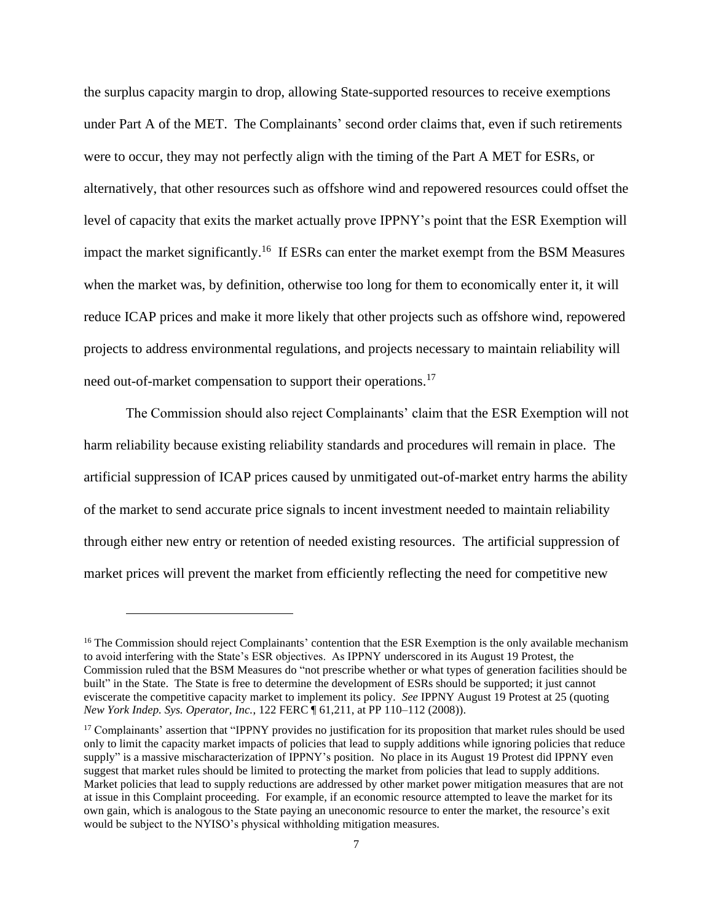the surplus capacity margin to drop, allowing State-supported resources to receive exemptions under Part A of the MET. The Complainants' second order claims that, even if such retirements were to occur, they may not perfectly align with the timing of the Part A MET for ESRs, or alternatively, that other resources such as offshore wind and repowered resources could offset the level of capacity that exits the market actually prove IPPNY's point that the ESR Exemption will impact the market significantly.<sup>16</sup> If ESRs can enter the market exempt from the BSM Measures when the market was, by definition, otherwise too long for them to economically enter it, it will reduce ICAP prices and make it more likely that other projects such as offshore wind, repowered projects to address environmental regulations, and projects necessary to maintain reliability will need out-of-market compensation to support their operations.<sup>17</sup>

The Commission should also reject Complainants' claim that the ESR Exemption will not harm reliability because existing reliability standards and procedures will remain in place. The artificial suppression of ICAP prices caused by unmitigated out-of-market entry harms the ability of the market to send accurate price signals to incent investment needed to maintain reliability through either new entry or retention of needed existing resources. The artificial suppression of market prices will prevent the market from efficiently reflecting the need for competitive new

<sup>&</sup>lt;sup>16</sup> The Commission should reject Complainants' contention that the ESR Exemption is the only available mechanism to avoid interfering with the State's ESR objectives. As IPPNY underscored in its August 19 Protest, the Commission ruled that the BSM Measures do "not prescribe whether or what types of generation facilities should be built" in the State. The State is free to determine the development of ESRs should be supported; it just cannot eviscerate the competitive capacity market to implement its policy. *See* IPPNY August 19 Protest at 25 (quoting *New York Indep. Sys. Operator, Inc.*, 122 FERC ¶ 61,211, at PP 110–112 (2008)).

<sup>&</sup>lt;sup>17</sup> Complainants' assertion that "IPPNY provides no justification for its proposition that market rules should be used only to limit the capacity market impacts of policies that lead to supply additions while ignoring policies that reduce supply" is a massive mischaracterization of IPPNY's position. No place in its August 19 Protest did IPPNY even suggest that market rules should be limited to protecting the market from policies that lead to supply additions. Market policies that lead to supply reductions are addressed by other market power mitigation measures that are not at issue in this Complaint proceeding. For example, if an economic resource attempted to leave the market for its own gain, which is analogous to the State paying an uneconomic resource to enter the market, the resource's exit would be subject to the NYISO's physical withholding mitigation measures.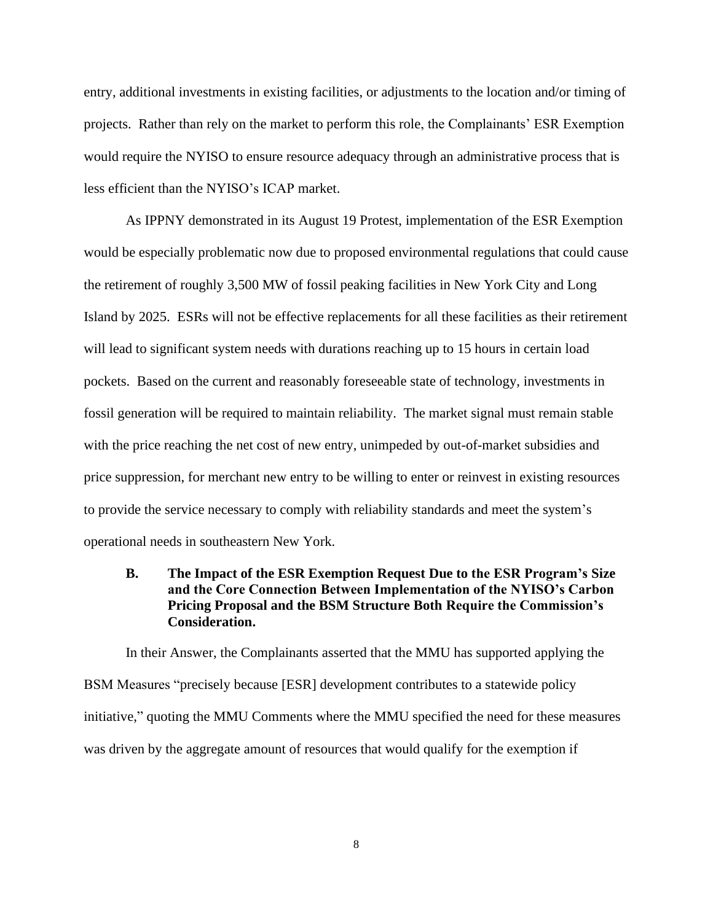entry, additional investments in existing facilities, or adjustments to the location and/or timing of projects. Rather than rely on the market to perform this role, the Complainants' ESR Exemption would require the NYISO to ensure resource adequacy through an administrative process that is less efficient than the NYISO's ICAP market.

As IPPNY demonstrated in its August 19 Protest, implementation of the ESR Exemption would be especially problematic now due to proposed environmental regulations that could cause the retirement of roughly 3,500 MW of fossil peaking facilities in New York City and Long Island by 2025. ESRs will not be effective replacements for all these facilities as their retirement will lead to significant system needs with durations reaching up to 15 hours in certain load pockets. Based on the current and reasonably foreseeable state of technology, investments in fossil generation will be required to maintain reliability. The market signal must remain stable with the price reaching the net cost of new entry, unimpeded by out-of-market subsidies and price suppression, for merchant new entry to be willing to enter or reinvest in existing resources to provide the service necessary to comply with reliability standards and meet the system's operational needs in southeastern New York.

# **B. The Impact of the ESR Exemption Request Due to the ESR Program's Size and the Core Connection Between Implementation of the NYISO's Carbon Pricing Proposal and the BSM Structure Both Require the Commission's Consideration.**

In their Answer, the Complainants asserted that the MMU has supported applying the BSM Measures "precisely because [ESR] development contributes to a statewide policy initiative," quoting the MMU Comments where the MMU specified the need for these measures was driven by the aggregate amount of resources that would qualify for the exemption if

8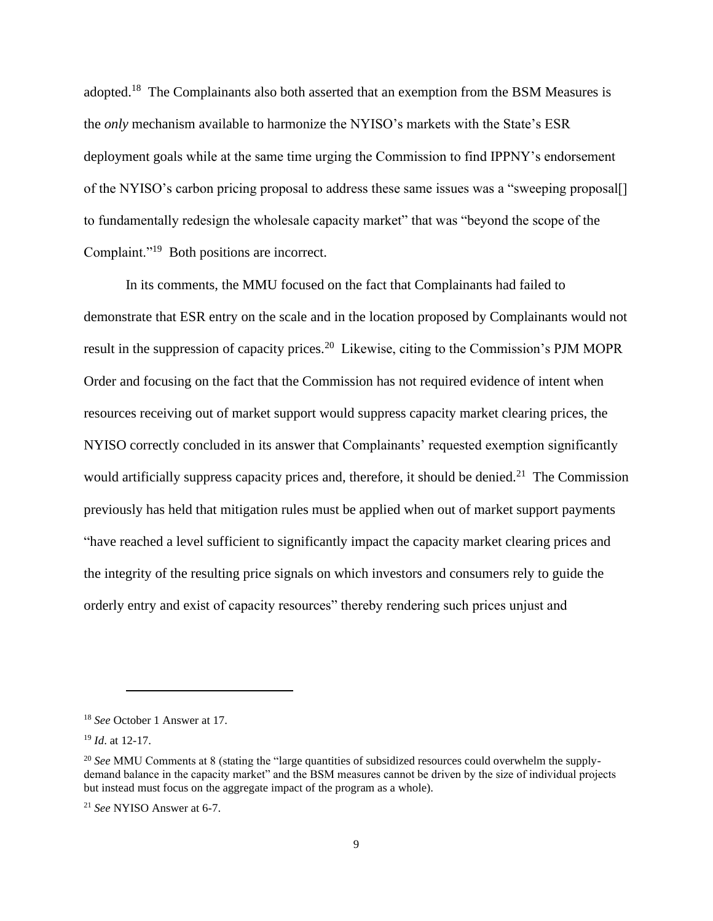adopted.<sup>18</sup> The Complainants also both asserted that an exemption from the BSM Measures is the *only* mechanism available to harmonize the NYISO's markets with the State's ESR deployment goals while at the same time urging the Commission to find IPPNY's endorsement of the NYISO's carbon pricing proposal to address these same issues was a "sweeping proposal[] to fundamentally redesign the wholesale capacity market" that was "beyond the scope of the Complaint."<sup>19</sup> Both positions are incorrect.

In its comments, the MMU focused on the fact that Complainants had failed to demonstrate that ESR entry on the scale and in the location proposed by Complainants would not result in the suppression of capacity prices.<sup>20</sup> Likewise, citing to the Commission's PJM MOPR Order and focusing on the fact that the Commission has not required evidence of intent when resources receiving out of market support would suppress capacity market clearing prices, the NYISO correctly concluded in its answer that Complainants' requested exemption significantly would artificially suppress capacity prices and, therefore, it should be denied.<sup>21</sup> The Commission previously has held that mitigation rules must be applied when out of market support payments "have reached a level sufficient to significantly impact the capacity market clearing prices and the integrity of the resulting price signals on which investors and consumers rely to guide the orderly entry and exist of capacity resources" thereby rendering such prices unjust and

<sup>18</sup> *See* October 1 Answer at 17.

<sup>19</sup> *Id*. at 12-17.

<sup>&</sup>lt;sup>20</sup> See MMU Comments at 8 (stating the "large quantities of subsidized resources could overwhelm the supplydemand balance in the capacity market" and the BSM measures cannot be driven by the size of individual projects but instead must focus on the aggregate impact of the program as a whole).

<sup>21</sup> *See* NYISO Answer at 6-7.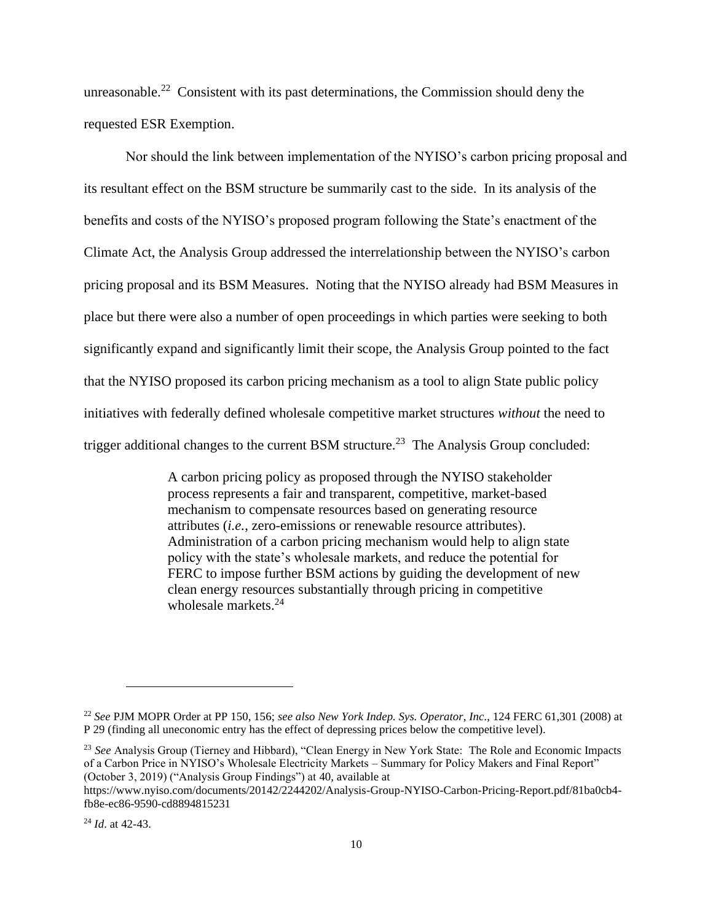unreasonable.<sup>22</sup> Consistent with its past determinations, the Commission should deny the requested ESR Exemption.

Nor should the link between implementation of the NYISO's carbon pricing proposal and its resultant effect on the BSM structure be summarily cast to the side. In its analysis of the benefits and costs of the NYISO's proposed program following the State's enactment of the Climate Act, the Analysis Group addressed the interrelationship between the NYISO's carbon pricing proposal and its BSM Measures. Noting that the NYISO already had BSM Measures in place but there were also a number of open proceedings in which parties were seeking to both significantly expand and significantly limit their scope, the Analysis Group pointed to the fact that the NYISO proposed its carbon pricing mechanism as a tool to align State public policy initiatives with federally defined wholesale competitive market structures *without* the need to trigger additional changes to the current BSM structure.<sup>23</sup> The Analysis Group concluded:

> A carbon pricing policy as proposed through the NYISO stakeholder process represents a fair and transparent, competitive, market-based mechanism to compensate resources based on generating resource attributes (*i.e.*, zero-emissions or renewable resource attributes). Administration of a carbon pricing mechanism would help to align state policy with the state's wholesale markets, and reduce the potential for FERC to impose further BSM actions by guiding the development of new clean energy resources substantially through pricing in competitive wholesale markets.<sup>24</sup>

<sup>22</sup> *See* PJM MOPR Order at PP 150, 156; *see also New York Indep. Sys. Operator, Inc.*, 124 FERC 61,301 (2008) at P 29 (finding all uneconomic entry has the effect of depressing prices below the competitive level).

<sup>23</sup> *See* Analysis Group (Tierney and Hibbard), "Clean Energy in New York State: The Role and Economic Impacts of a Carbon Price in NYISO's Wholesale Electricity Markets – Summary for Policy Makers and Final Report" (October 3, 2019) ("Analysis Group Findings") at 40, available at

https://www.nyiso.com/documents/20142/2244202/Analysis-Group-NYISO-Carbon-Pricing-Report.pdf/81ba0cb4 fb8e-ec86-9590-cd8894815231

<sup>24</sup> *Id*. at 42-43.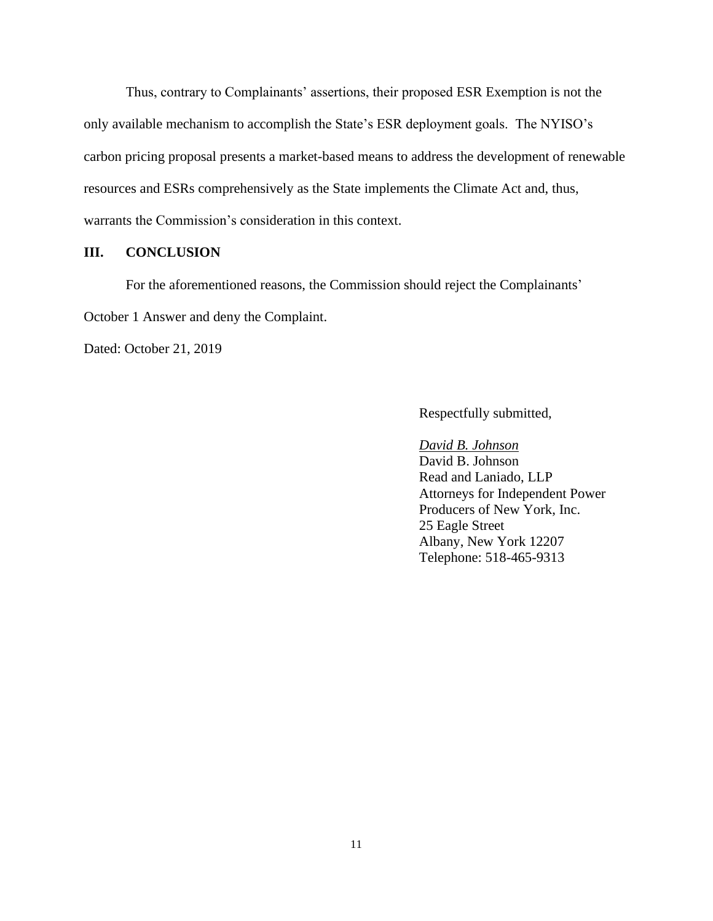Thus, contrary to Complainants' assertions, their proposed ESR Exemption is not the only available mechanism to accomplish the State's ESR deployment goals. The NYISO's carbon pricing proposal presents a market-based means to address the development of renewable resources and ESRs comprehensively as the State implements the Climate Act and, thus, warrants the Commission's consideration in this context.

#### **III. CONCLUSION**

For the aforementioned reasons, the Commission should reject the Complainants'

October 1 Answer and deny the Complaint.

Dated: October 21, 2019

Respectfully submitted,

#### *David B. Johnson*

David B. Johnson Read and Laniado, LLP Attorneys for Independent Power Producers of New York, Inc. 25 Eagle Street Albany, New York 12207 Telephone: 518-465-9313